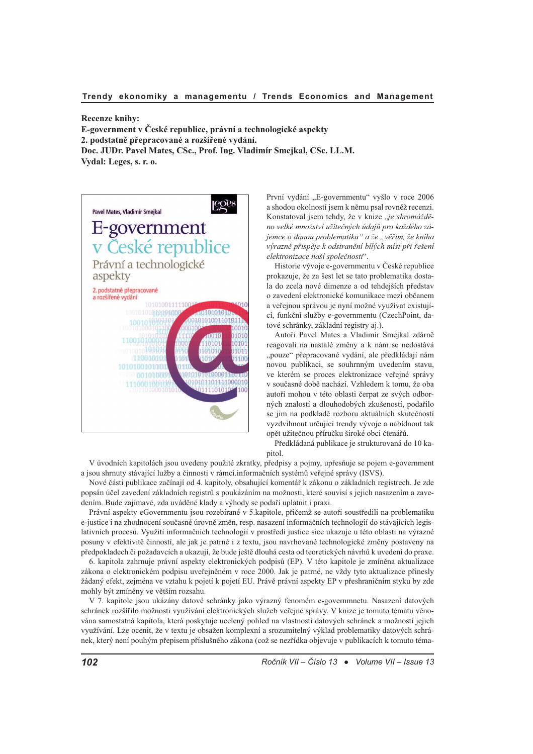**Recenze knihy:** E-government v České republice, právní a technologické aspekty 2. podstatně přepracované a rozšířené vydání.

Doc. JUDr. Pavel Mates, CSc., Prof. Ing. Vladimír Smejkal, CSc. LL.M. Vydal: Leges, s. r. o.



První vydání "E-governmentu" vyšlo v roce 2006 a shodou okolností jsem k němu psal rovněž recenzi. Konstatoval jsem tehdy, že v knize "je shromážděno velké množství užitečných údajů pro každého zájemce o danou problematiku" a že "věřím, že kniha výrazně přispěje k odstranění bílých míst při řešení elektronizace naší společnosti".

Historie vývoje e-governmentu v České republice prokazuje, že za šest let se tato problematika dostala do zcela nové dimenze a od tehdejších představ o zavedení elektronické komunikace mezi občanem a veřejnou správou je nyní možné využívat existující, funkční služby e-governmentu (CzechPoint, datové schránky, základní registry aj.).

Autoři Pavel Mates a Vladimír Smejkal zdárně reagovali na nastalé změny a k nám se nedostává "pouze" přepracované vydání, ale předkládají nám novou publikaci, se souhrnným uvedením stavu, ve kterém se proces elektronizace veřejné správy v současné době nachází. Vzhledem k tomu, že oba autoři mohou v této oblasti čerpat ze svých odborných znalostí a dlouhodobých zkušeností, podařilo se jim na podkladě rozboru aktuálních skutečností vyzdvihnout určující trendy vývoje a nabídnout tak opět užitečnou příručku široké obci čtenářů.

Předkládaná publikace je strukturovaná do 10 kapitol.

V úvodních kapitolách jsou uvedeny použité zkratky, předpisy a pojmy, upřesňuje se pojem e-government a jsou shrnuty stávající lužby a činnosti v rámci.informačních systémů veřejné správy (ISVS).

Nové části publikace začínají od 4. kapitoly, obsahující komentář k zákonu o základních registrech. Je zde popsán účel zavedení základních registrů s poukázáním na možnosti, které souvisí s jejich nasazením a zavedením. Bude zajímavé, zda uváděné klady a výhody se podaří uplatnit i praxi.

Právní aspekty eGovernmentu jsou rozebírané v 5.kapitole, přičemž se autoři soustředili na problematiku e-justice i na zhodnocení současné úrovně změn, resp. nasazení informačních technologií do stávajících legislativních procesů. Využití informačních technologií v prostředí justice sice ukazuje u této oblasti na výrazné posuny v efektivitě činností, ale jak je patrné i z textu, jsou navrhované technologické změny postaveny na předpokladech či požadavcích a ukazují, že bude ještě dlouhá cesta od teoretických návrhů k uvedení do praxe.

6. kapitola zahrnuje právní aspekty elektronických podpisů (EP). V této kapitole je zmíněna aktualizace zákona o elektronickém podpisu uveřejněném v roce 2000. Jak je patrné, ne vždy tyto aktualizace přinesly žádaný efekt, zejména ve vztahu k pojetí k pojetí EU. Právě právní aspekty EP v přeshraničním styku by zde mohly být zmíněny ve větším rozsahu.

V 7. kapitole jsou ukázány datové schránky jako výrazný fenomém e-governmnetu. Nasazení datových schránek rozšířilo možnosti využívání elektronických služeb veřejné správy. V knize je tomuto tématu věnována samostatná kapitola, která poskytuje ucelený pohled na vlastnosti datových schránek a možnosti jejich využívání. Lze ocenit, že v textu je obsažen komplexní a srozumitelný výklad problematiky datových schránek, který není pouhým přepisem příslušného zákona (což se nezřídka objevuje v publikacích k tomuto téma-